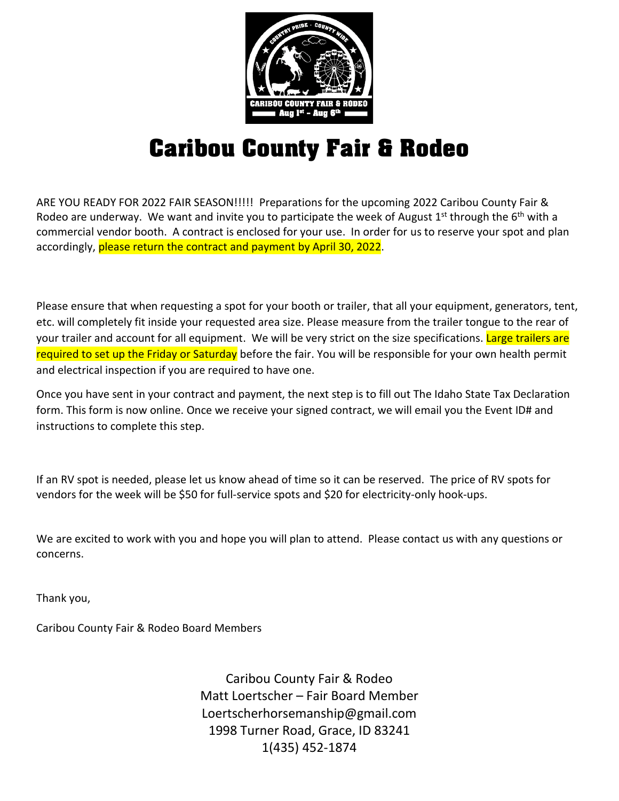

## **Caribou County Fair & Rodeo**

ARE YOU READY FOR 2022 FAIR SEASON!!!!! Preparations for the upcoming 2022 Caribou County Fair & Rodeo are underway. We want and invite you to participate the week of August 1<sup>st</sup> through the 6<sup>th</sup> with a commercial vendor booth. A contract is enclosed for your use. In order for us to reserve your spot and plan accordingly, please return the contract and payment by April 30, 2022.

Please ensure that when requesting a spot for your booth or trailer, that all your equipment, generators, tent, etc. will completely fit inside your requested area size. Please measure from the trailer tongue to the rear of your trailer and account for all equipment. We will be very strict on the size specifications. Large trailers are required to set up the Friday or Saturday before the fair. You will be responsible for your own health permit and electrical inspection if you are required to have one.

Once you have sent in your contract and payment, the next step is to fill out The Idaho State Tax Declaration form. This form is now online. Once we receive your signed contract, we will email you the Event ID# and instructions to complete this step.

If an RV spot is needed, please let us know ahead of time so it can be reserved. The price of RV spots for vendors for the week will be \$50 for full-service spots and \$20 for electricity-only hook-ups.

We are excited to work with you and hope you will plan to attend. Please contact us with any questions or concerns.

Thank you,

Caribou County Fair & Rodeo Board Members

Caribou County Fair & Rodeo Matt Loertscher – Fair Board Member Loertscherhorsemanship@gmail.com 1998 Turner Road, Grace, ID 83241 1(435) 452-1874